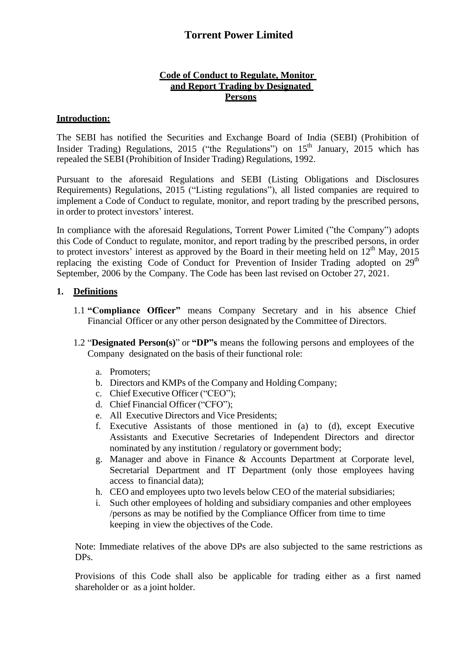### **Code of Conduct to Regulate, Monitor and Report Trading by Designated Persons**

### **Introduction:**

The SEBI has notified the Securities and Exchange Board of India (SEBI) (Prohibition of Insider Trading) Regulations, 2015 ("the Regulations") on  $15<sup>th</sup>$  January, 2015 which has repealed the SEBI (Prohibition of Insider Trading) Regulations, 1992.

Pursuant to the aforesaid Regulations and SEBI (Listing Obligations and Disclosures Requirements) Regulations, 2015 ("Listing regulations"), all listed companies are required to implement a Code of Conduct to regulate, monitor, and report trading by the prescribed persons, in order to protect investors' interest.

In compliance with the aforesaid Regulations, Torrent Power Limited ("the Company") adopts this Code of Conduct to regulate, monitor, and report trading by the prescribed persons, in order to protect investors' interest as approved by the Board in their meeting held on  $12<sup>th</sup>$  May, 2015 replacing the existing Code of Conduct for Prevention of Insider Trading adopted on  $29<sup>th</sup>$ September, 2006 by the Company. The Code has been last revised on October 27, 2021.

### **1. Definitions**

- 1.1 **"Compliance Officer"** means Company Secretary and in his absence Chief Financial Officer or any other person designated by the Committee of Directors.
- 1.2 "**Designated Person(s)**" or **"DP"s** means the following persons and employees of the Company designated on the basis of their functional role:
	- a. Promoters;
	- b. Directors and KMPs of the Company and Holding Company;
	- c. Chief Executive Officer ("CEO");
	- d. Chief Financial Officer ("CFO");
	- e. All Executive Directors and Vice Presidents;
	- f. Executive Assistants of those mentioned in (a) to (d), except Executive Assistants and Executive Secretaries of Independent Directors and director nominated by any institution / regulatory or government body;
	- g. Manager and above in Finance & Accounts Department at Corporate level, Secretarial Department and IT Department (only those employees having access to financial data);
	- h. CEO and employees upto two levels below CEO of the material subsidiaries;
	- i. Such other employees of holding and subsidiary companies and other employees /persons as may be notified by the Compliance Officer from time to time keeping in view the objectives of the Code.

Note: Immediate relatives of the above DPs are also subjected to the same restrictions as DPs.

Provisions of this Code shall also be applicable for trading either as a first named shareholder or as a joint holder.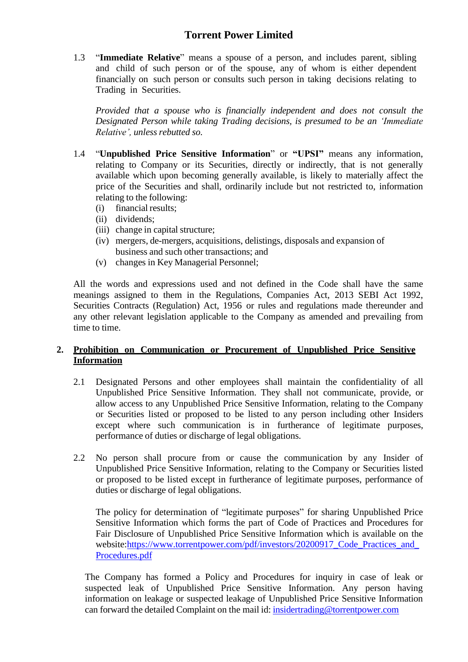1.3 "**Immediate Relative**" means a spouse of a person, and includes parent, sibling and child of such person or of the spouse, any of whom is either dependent financially on such person or consults such person in taking decisions relating to Trading in Securities.

*Provided that a spouse who is financially independent and does not consult the Designated Person while taking Trading decisions, is presumed to be an 'Immediate Relative', unless rebutted so.*

- 1.4 "**Unpublished Price Sensitive Information**" or **"UPSI"** means any information, relating to Company or its Securities, directly or indirectly, that is not generally available which upon becoming generally available, is likely to materially affect the price of the Securities and shall, ordinarily include but not restricted to, information relating to the following:
	- (i) financial results;
	- (ii) dividends;
	- (iii) change in capital structure;
	- (iv) mergers, de-mergers, acquisitions, delistings, disposals and expansion of business and such other transactions; and
	- (v) changes in Key Managerial Personnel;

All the words and expressions used and not defined in the Code shall have the same meanings assigned to them in the Regulations, Companies Act, 2013 SEBI Act 1992, Securities Contracts (Regulation) Act, 1956 or rules and regulations made thereunder and any other relevant legislation applicable to the Company as amended and prevailing from time to time.

### **2. Prohibition on Communication or Procurement of Unpublished Price Sensitive Information**

- 2.1 Designated Persons and other employees shall maintain the confidentiality of all Unpublished Price Sensitive Information. They shall not communicate, provide, or allow access to any Unpublished Price Sensitive Information, relating to the Company or Securities listed or proposed to be listed to any person including other Insiders except where such communication is in furtherance of legitimate purposes, performance of duties or discharge of legal obligations.
- 2.2 No person shall procure from or cause the communication by any Insider of Unpublished Price Sensitive Information, relating to the Company or Securities listed or proposed to be listed except in furtherance of legitimate purposes, performance of duties or discharge of legal obligations.

The policy for determination of "legitimate purposes" for sharing Unpublished Price Sensitive Information which forms the part of Code of Practices and Procedures for Fair Disclosure of Unpublished Price Sensitive Information which is available on the website:https://www.torrentpower.com/pdf/investors/20200917\_Code\_Practices\_and [Procedures.pdf](https://www.torrentpower.com/pdf/investors/20200917_Code_Practices_and_Procedures.pdf)

The Company has formed a Policy and Procedures for inquiry in case of leak or suspected leak of Unpublished Price Sensitive Information. Any person having information on leakage or suspected leakage of Unpublished Price Sensitive Information can forward the detailed Complaint on the mail id: [insidertrading@torrentpower.com](mailto:insidertrading@torrentpower.com)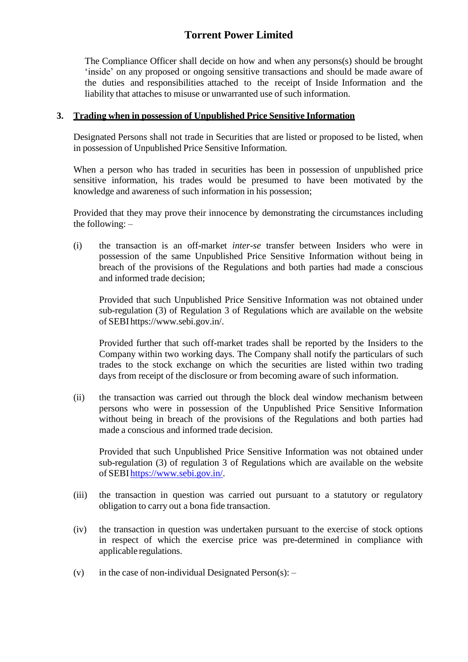The Compliance Officer shall decide on how and when any persons(s) should be brought 'inside' on any proposed or ongoing sensitive transactions and should be made aware of the duties and responsibilities attached to the receipt of Inside Information and the liability that attaches to misuse or unwarranted use of such information.

#### **3. Trading when in possession of Unpublished Price Sensitive Information**

Designated Persons shall not trade in Securities that are listed or proposed to be listed, when in possession of Unpublished Price Sensitive Information.

When a person who has traded in securities has been in possession of unpublished price sensitive information, his trades would be presumed to have been motivated by the knowledge and awareness of such information in his possession;

Provided that they may prove their innocence by demonstrating the circumstances including the following: –

(i) the transaction is an off-market *inter-se* transfer between Insiders who were in possession of the same Unpublished Price Sensitive Information without being in breach of the provisions of the Regulations and both parties had made a conscious and informed trade decision;

Provided that such Unpublished Price Sensitive Information was not obtained under sub-regulation (3) of Regulation 3 of Regulations which are available on the website of SEBI https:[//www.sebi.gov.in/.](http://www.sebi.gov.in/)

Provided further that such off-market trades shall be reported by the Insiders to the Company within two working days. The Company shall notify the particulars of such trades to the stock exchange on which the securities are listed within two trading days from receipt of the disclosure or from becoming aware of such information.

(ii) the transaction was carried out through the block deal window mechanism between persons who were in possession of the Unpublished Price Sensitive Information without being in breach of the provisions of the Regulations and both parties had made a conscious and informed trade decision.

Provided that such Unpublished Price Sensitive Information was not obtained under sub-regulation (3) of regulation 3 of Regulations which are available on the website of SEBI https:/[/www.sebi.gov.in/.](http://www.sebi.gov.in/)

- (iii) the transaction in question was carried out pursuant to a statutory or regulatory obligation to carry out a bona fide transaction.
- (iv) the transaction in question was undertaken pursuant to the exercise of stock options in respect of which the exercise price was pre-determined in compliance with applicable regulations.
- (v) in the case of non-individual Designated Person(s):  $-$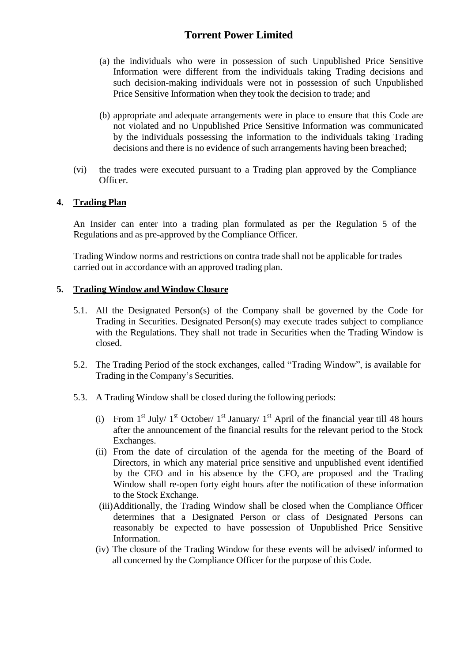- (a) the individuals who were in possession of such Unpublished Price Sensitive Information were different from the individuals taking Trading decisions and such decision-making individuals were not in possession of such Unpublished Price Sensitive Information when they took the decision to trade; and
- (b) appropriate and adequate arrangements were in place to ensure that this Code are not violated and no Unpublished Price Sensitive Information was communicated by the individuals possessing the information to the individuals taking Trading decisions and there is no evidence of such arrangements having been breached;
- (vi) the trades were executed pursuant to a Trading plan approved by the Compliance Officer.

## **4. Trading Plan**

An Insider can enter into a trading plan formulated as per the Regulation 5 of the Regulations and as pre-approved by the Compliance Officer.

Trading Window norms and restrictions on contra trade shall not be applicable for trades carried out in accordance with an approved trading plan.

### **5. Trading Window and Window Closure**

- 5.1. All the Designated Person(s) of the Company shall be governed by the Code for Trading in Securities. Designated Person(s) may execute trades subject to compliance with the Regulations. They shall not trade in Securities when the Trading Window is closed.
- 5.2. The Trading Period of the stock exchanges, called "Trading Window", is available for Trading in the Company's Securities.
- 5.3. A Trading Window shall be closed during the following periods:
	- (i) From  $1<sup>st</sup>$  July/  $1<sup>st</sup>$  October/  $1<sup>st</sup>$  January/  $1<sup>st</sup>$  April of the financial year till 48 hours after the announcement of the financial results for the relevant period to the Stock Exchanges.
	- (ii) From the date of circulation of the agenda for the meeting of the Board of Directors, in which any material price sensitive and unpublished event identified by the CEO and in his absence by the CFO, are proposed and the Trading Window shall re-open forty eight hours after the notification of these information to the Stock Exchange.
	- (iii)Additionally, the Trading Window shall be closed when the Compliance Officer determines that a Designated Person or class of Designated Persons can reasonably be expected to have possession of Unpublished Price Sensitive Information.
	- (iv) The closure of the Trading Window for these events will be advised/ informed to all concerned by the Compliance Officer for the purpose of this Code.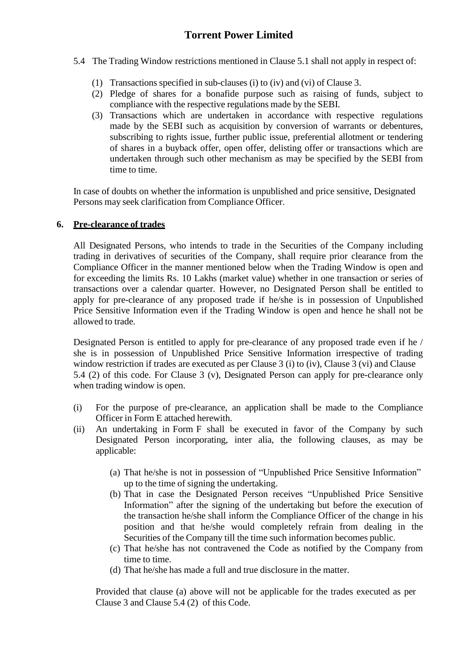- 5.4 The Trading Window restrictions mentioned in Clause 5.1 shall not apply in respect of:
	- (1) Transactions specified in sub-clauses (i) to (iv) and (vi) of Clause 3.
	- (2) Pledge of shares for a bonafide purpose such as raising of funds, subject to compliance with the respective regulations made by the SEBI.
	- (3) Transactions which are undertaken in accordance with respective regulations made by the SEBI such as acquisition by conversion of warrants or debentures, subscribing to rights issue, further public issue, preferential allotment or tendering of shares in a buyback offer, open offer, delisting offer or transactions which are undertaken through such other mechanism as may be specified by the SEBI from time to time.

In case of doubts on whether the information is unpublished and price sensitive, Designated Persons may seek clarification from Compliance Officer.

### **6. Pre-clearance of trades**

All Designated Persons, who intends to trade in the Securities of the Company including trading in derivatives of securities of the Company, shall require prior clearance from the Compliance Officer in the manner mentioned below when the Trading Window is open and for exceeding the limits Rs. 10 Lakhs (market value) whether in one transaction or series of transactions over a calendar quarter. However, no Designated Person shall be entitled to apply for pre-clearance of any proposed trade if he/she is in possession of Unpublished Price Sensitive Information even if the Trading Window is open and hence he shall not be allowed to trade.

Designated Person is entitled to apply for pre-clearance of any proposed trade even if he / she is in possession of Unpublished Price Sensitive Information irrespective of trading window restriction if trades are executed as per Clause 3 (i) to (iv), Clause 3 (vi) and Clause 5.4 (2) of this code. For Clause 3 (v), Designated Person can apply for pre-clearance only when trading window is open.

- (i) For the purpose of pre-clearance, an application shall be made to the Compliance Officer in Form E attached herewith.
- (ii) An undertaking in Form F shall be executed in favor of the Company by such Designated Person incorporating, inter alia, the following clauses, as may be applicable:
	- (a) That he/she is not in possession of "Unpublished Price Sensitive Information" up to the time of signing the undertaking.
	- (b) That in case the Designated Person receives "Unpublished Price Sensitive Information" after the signing of the undertaking but before the execution of the transaction he/she shall inform the Compliance Officer of the change in his position and that he/she would completely refrain from dealing in the Securities of the Company till the time such information becomes public.
	- (c) That he/she has not contravened the Code as notified by the Company from time to time.
	- (d) That he/she has made a full and true disclosure in the matter.

Provided that clause (a) above will not be applicable for the trades executed as per Clause 3 and Clause 5.4 (2) of this Code.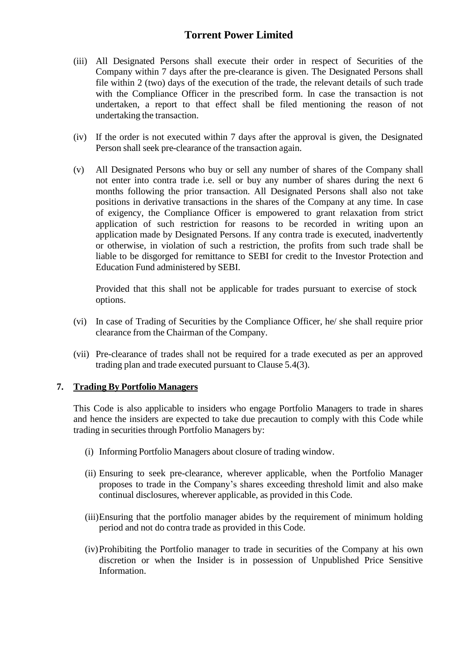- (iii) All Designated Persons shall execute their order in respect of Securities of the Company within 7 days after the pre-clearance is given. The Designated Persons shall file within 2 (two) days of the execution of the trade, the relevant details of such trade with the Compliance Officer in the prescribed form. In case the transaction is not undertaken, a report to that effect shall be filed mentioning the reason of not undertaking the transaction.
- (iv) If the order is not executed within 7 days after the approval is given, the Designated Person shall seek pre-clearance of the transaction again.
- (v) All Designated Persons who buy or sell any number of shares of the Company shall not enter into contra trade i.e. sell or buy any number of shares during the next 6 months following the prior transaction. All Designated Persons shall also not take positions in derivative transactions in the shares of the Company at any time. In case of exigency, the Compliance Officer is empowered to grant relaxation from strict application of such restriction for reasons to be recorded in writing upon an application made by Designated Persons. If any contra trade is executed, inadvertently or otherwise, in violation of such a restriction, the profits from such trade shall be liable to be disgorged for remittance to SEBI for credit to the Investor Protection and Education Fund administered by SEBI.

Provided that this shall not be applicable for trades pursuant to exercise of stock options.

- (vi) In case of Trading of Securities by the Compliance Officer, he/ she shall require prior clearance from the Chairman of the Company.
- (vii) Pre-clearance of trades shall not be required for a trade executed as per an approved trading plan and trade executed pursuant to Clause 5.4(3).

#### **7. Trading By Portfolio Managers**

This Code is also applicable to insiders who engage Portfolio Managers to trade in shares and hence the insiders are expected to take due precaution to comply with this Code while trading in securities through Portfolio Managers by:

- (i) Informing Portfolio Managers about closure of trading window.
- (ii) Ensuring to seek pre-clearance, wherever applicable, when the Portfolio Manager proposes to trade in the Company's shares exceeding threshold limit and also make continual disclosures, wherever applicable, as provided in this Code.
- (iii)Ensuring that the portfolio manager abides by the requirement of minimum holding period and not do contra trade as provided in this Code.
- (iv)Prohibiting the Portfolio manager to trade in securities of the Company at his own discretion or when the Insider is in possession of Unpublished Price Sensitive Information.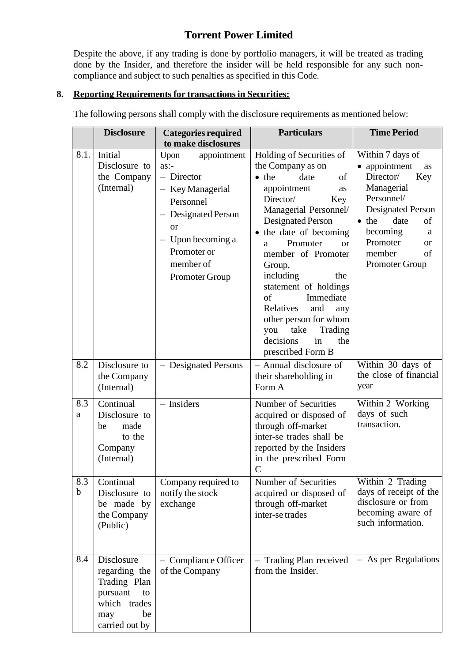Despite the above, if any trading is done by portfolio managers, it will be treated as trading done by the Insider, and therefore the insider will be held responsible for any such noncompliance and subject to such penalties as specified in this Code.

## **8. Reporting Requirementsfor transactionsin Securities:**

the Insider

The following persons shall comply with the disclosure requirements as mentioned below:

|                    | <b>Disclosure</b>                                                                                            | <b>Categories required</b><br>to make disclosures                                                                                                                                         | <b>Particulars</b>                                                                                                                                                                                                                                                                                                                                                                                                                                             | <b>Time Period</b>                                                                                                                                                                                                                               |
|--------------------|--------------------------------------------------------------------------------------------------------------|-------------------------------------------------------------------------------------------------------------------------------------------------------------------------------------------|----------------------------------------------------------------------------------------------------------------------------------------------------------------------------------------------------------------------------------------------------------------------------------------------------------------------------------------------------------------------------------------------------------------------------------------------------------------|--------------------------------------------------------------------------------------------------------------------------------------------------------------------------------------------------------------------------------------------------|
| 8.1.               | Initial<br>Disclosure to<br>the Company<br>(Internal)                                                        | Upon<br>appointment<br>$as:-$<br>- Director<br>- Key Managerial<br>Personnel<br>- Designated Person<br><sub>or</sub><br>$-$ Upon becoming a<br>Promoter or<br>member of<br>Promoter Group | Holding of Securities of<br>the Company as on<br>$\bullet$ the<br>date<br>of<br>appointment<br>as<br>Director/<br>Key<br>Managerial Personnel/<br><b>Designated Person</b><br>• the date of becoming<br>Promoter<br>$\alpha$<br>a<br>member of Promoter<br>Group,<br>including<br>the<br>statement of holdings<br>of<br>Immediate<br>Relatives<br>and<br>any<br>other person for whom<br>take<br>Trading<br>you<br>decisions<br>in<br>the<br>prescribed Form B | Within 7 days of<br>• appointment<br><b>as</b><br>Director/<br>Key<br>Managerial<br>Personnel/<br><b>Designated Person</b><br>$\bullet$ the<br>date<br>of<br>becoming<br>a<br>Promoter<br><sub>or</sub><br>member<br>of<br><b>Promoter Group</b> |
| 8.2                | Disclosure to<br>the Company<br>(Internal)                                                                   | - Designated Persons                                                                                                                                                                      | - Annual disclosure of<br>their shareholding in<br>Form A                                                                                                                                                                                                                                                                                                                                                                                                      | Within 30 days of<br>the close of financial<br>year                                                                                                                                                                                              |
| 8.3<br>a           | Continual<br>Disclosure to<br>made<br>be<br>to the<br>Company<br>(Internal)                                  | - Insiders                                                                                                                                                                                | Number of Securities<br>acquired or disposed of<br>through off-market<br>inter-se trades shall be<br>reported by the Insiders<br>in the prescribed Form<br>$\mathsf{C}$                                                                                                                                                                                                                                                                                        | Within 2 Working<br>days of such<br>transaction.                                                                                                                                                                                                 |
| 8.3<br>$\mathbf b$ | Continual<br>Disclosure to<br>be made by<br>the Company<br>(Public)                                          | Company required to<br>notify the stock<br>exchange                                                                                                                                       | Number of Securities<br>acquired or disposed of<br>through off-market<br>inter-se trades                                                                                                                                                                                                                                                                                                                                                                       | Within 2 Trading<br>days of receipt of the<br>disclosure or from<br>becoming aware of<br>such information.                                                                                                                                       |
| 8.4                | Disclosure<br>regarding the<br>Trading Plan<br>pursuant<br>to<br>which trades<br>be<br>may<br>carried out by | <b>Compliance Officer</b><br>of the Company                                                                                                                                               | Trading Plan received<br>from the Insider.                                                                                                                                                                                                                                                                                                                                                                                                                     | - As per Regulations                                                                                                                                                                                                                             |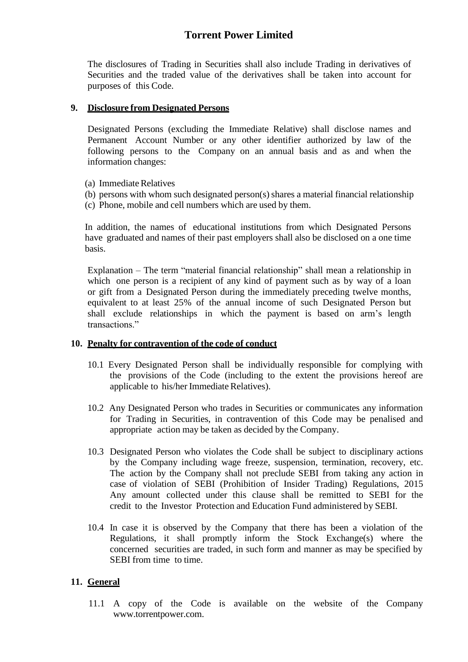The disclosures of Trading in Securities shall also include Trading in derivatives of Securities and the traded value of the derivatives shall be taken into account for purposes of this Code.

### **9. Disclosure from Designated Persons**

Designated Persons (excluding the Immediate Relative) shall disclose names and Permanent Account Number or any other identifier authorized by law of the following persons to the Company on an annual basis and as and when the information changes:

- (a) Immediate Relatives
- (b) persons with whom such designated person(s) shares a material financial relationship
- (c) Phone, mobile and cell numbers which are used by them.

In addition, the names of educational institutions from which Designated Persons have graduated and names of their past employers shall also be disclosed on a one time basis.

Explanation – The term "material financial relationship" shall mean a relationship in which one person is a recipient of any kind of payment such as by way of a loan or gift from a Designated Person during the immediately preceding twelve months, equivalent to at least 25% of the annual income of such Designated Person but shall exclude relationships in which the payment is based on arm's length transactions."

#### **10. Penalty for contravention of the code of conduct**

- 10.1 Every Designated Person shall be individually responsible for complying with the provisions of the Code (including to the extent the provisions hereof are applicable to his/her Immediate Relatives).
- 10.2 Any Designated Person who trades in Securities or communicates any information for Trading in Securities, in contravention of this Code may be penalised and appropriate action may be taken as decided by the Company.
- 10.3 Designated Person who violates the Code shall be subject to disciplinary actions by the Company including wage freeze, suspension, termination, recovery, etc. The action by the Company shall not preclude SEBI from taking any action in case of violation of SEBI (Prohibition of Insider Trading) Regulations, 2015 Any amount collected under this clause shall be remitted to SEBI for the credit to the Investor Protection and Education Fund administered by SEBI.
- 10.4 In case it is observed by the Company that there has been a violation of the Regulations, it shall promptly inform the Stock Exchange(s) where the concerned securities are traded, in such form and manner as may be specified by SEBI from time to time.

#### **11. General**

11.1 A copy of the Code is available on the website of the Compan[y](http://www.torrentpower.com/) [www.torrentpower.com.](http://www.torrentpower.com/)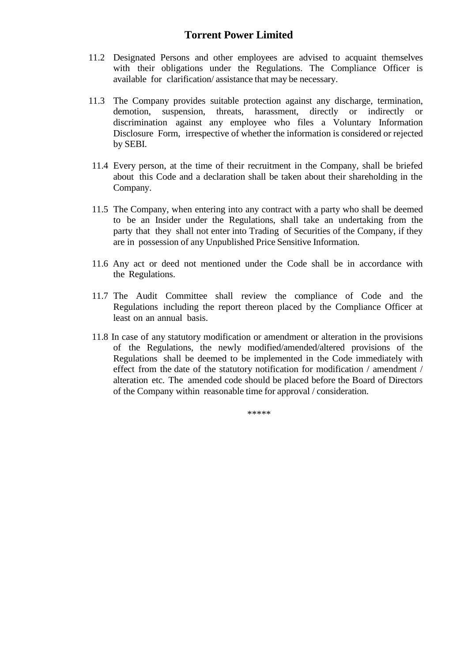- 11.2 Designated Persons and other employees are advised to acquaint themselves with their obligations under the Regulations. The Compliance Officer is available for clarification/ assistance that may be necessary.
- 11.3 The Company provides suitable protection against any discharge, termination, demotion, suspension, threats, harassment, directly or indirectly or discrimination against any employee who files a Voluntary Information Disclosure Form, irrespective of whether the information is considered or rejected by SEBI.
- 11.4 Every person, at the time of their recruitment in the Company, shall be briefed about this Code and a declaration shall be taken about their shareholding in the Company.
- 11.5 The Company, when entering into any contract with a party who shall be deemed to be an Insider under the Regulations, shall take an undertaking from the party that they shall not enter into Trading of Securities of the Company, if they are in possession of any Unpublished Price Sensitive Information.
- 11.6 Any act or deed not mentioned under the Code shall be in accordance with the Regulations.
- 11.7 The Audit Committee shall review the compliance of Code and the Regulations including the report thereon placed by the Compliance Officer at least on an annual basis.
- 11.8 In case of any statutory modification or amendment or alteration in the provisions of the Regulations, the newly modified/amended/altered provisions of the Regulations shall be deemed to be implemented in the Code immediately with effect from the date of the statutory notification for modification / amendment / alteration etc. The amended code should be placed before the Board of Directors of the Company within reasonable time for approval / consideration.

\*\*\*\*\*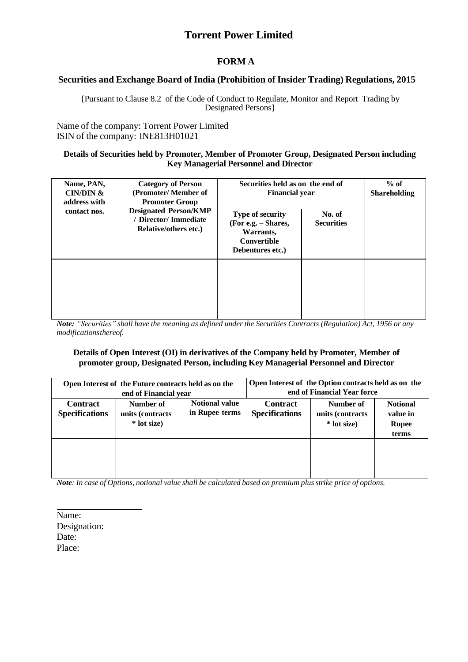## **FORM A**

### **Securities and Exchange Board of India (Prohibition of Insider Trading) Regulations, 2015**

{Pursuant to Clause 8.2 of the Code of Conduct to Regulate, Monitor and Report Trading by Designated Persons}

Name of the company: Torrent Power Limited ISIN of the company: INE813H01021

#### **Details of Securities held by Promoter, Member of Promoter Group, Designated Person including Key Managerial Personnel and Director**

| Name, PAN,<br><b>CIN/DIN &amp;</b><br>address with<br>contact nos. | <b>Category of Person</b><br>(Promoter/Member of<br><b>Promoter Group</b><br><b>Designated Person/KMP</b><br>/ Director/ Immediate<br><b>Relative/others etc.)</b> | Securities held as on the end of<br><b>Financial year</b><br><b>Type of security</b><br>(For e.g. – Shares,<br>Warrants,<br><b>Convertible</b><br>Debentures etc.) | No. of<br><b>Securities</b> | $%$ of<br><b>Shareholding</b> |
|--------------------------------------------------------------------|--------------------------------------------------------------------------------------------------------------------------------------------------------------------|--------------------------------------------------------------------------------------------------------------------------------------------------------------------|-----------------------------|-------------------------------|
|                                                                    |                                                                                                                                                                    |                                                                                                                                                                    |                             |                               |

Note: "Securities" shall have the meaning as defined under the Securities Contracts (Regulation) Act, 1956 or any *modificationsthereof.*

#### **Details of Open Interest (OI) in derivatives of the Company held by Promoter, Member of promoter group, Designated Person, including Key Managerial Personnel and Director**

|                                          | Open Interest of the Future contracts held as on the<br>end of Financial year            |  | Open Interest of the Option contracts held as on the<br>end of Financial Year force |                                               |                                                      |  |
|------------------------------------------|------------------------------------------------------------------------------------------|--|-------------------------------------------------------------------------------------|-----------------------------------------------|------------------------------------------------------|--|
| <b>Contract</b><br><b>Specifications</b> | <b>Notional value</b><br>Number of<br>in Rupee terms<br>units (contracts)<br>* lot size) |  | <b>Contract</b><br><b>Specifications</b>                                            | Number of<br>units (contracts)<br>* lot size) | <b>Notional</b><br>value in<br><b>Rupee</b><br>terms |  |
|                                          |                                                                                          |  |                                                                                     |                                               |                                                      |  |

Note: In case of Options, notional value shall be calculated based on premium plus strike price of options.

Name: Designation: Date: Place: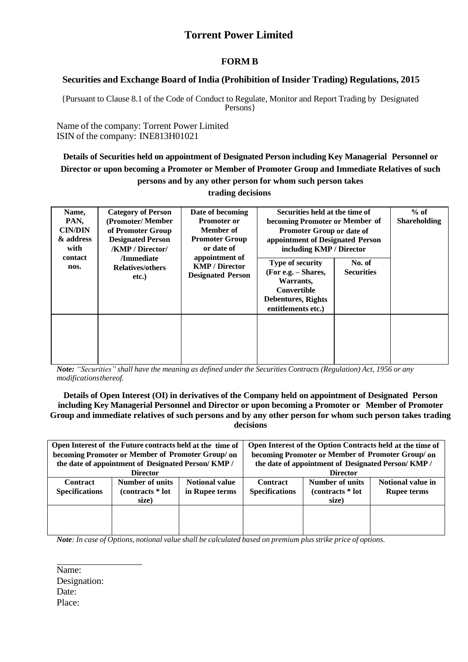### **FORM B**

#### **Securities and Exchange Board of India (Prohibition of Insider Trading) Regulations, 2015**

{Pursuant to Clause 8.1 of the Code of Conduct to Regulate, Monitor and Report Trading by Designated Persons}

Name of the company: Torrent Power Limited ISIN of the company: INE813H01021

**Details of Securities held on appointment of Designated Person including Key Managerial Personnel or Director or upon becoming a Promoter or Member of Promoter Group and Immediate Relatives of such persons and by any other person for whom such person takes** 

#### **trading decisions**

| Name,<br>PAN,<br><b>CIN/DIN</b><br>& address<br>with<br>contact<br>nos. | <b>Category of Person</b><br>(Promoter/Member)<br>of Promoter Group<br><b>Designated Person</b><br><b>/KMP / Director/</b><br>/Immediate<br><b>Relatives/others</b><br>etc.) | Date of becoming<br><b>Promoter or</b><br>Member of<br><b>Promoter Group</b><br>or date of<br>appointment of<br><b>KMP / Director</b><br><b>Designated Person</b> | Securities held at the time of<br>becoming Promoter or Member of<br>Promoter Group or date of<br>appointment of Designated Person<br>including KMP / Director<br><b>Type of security</b><br>(For e.g. – Shares,<br>Warrants,<br>Convertible<br><b>Debentures, Rights</b><br>entitlements etc.) | No. of<br><b>Securities</b> | $%$ of<br><b>Shareholding</b> |
|-------------------------------------------------------------------------|------------------------------------------------------------------------------------------------------------------------------------------------------------------------------|-------------------------------------------------------------------------------------------------------------------------------------------------------------------|------------------------------------------------------------------------------------------------------------------------------------------------------------------------------------------------------------------------------------------------------------------------------------------------|-----------------------------|-------------------------------|
|                                                                         |                                                                                                                                                                              |                                                                                                                                                                   |                                                                                                                                                                                                                                                                                                |                             |                               |

Note: "Securities" shall have the meaning as defined under the Securities Contracts (Regulation) Act, 1956 or any *modificationsthereof.*

#### **Details of Open Interest (OI) in derivatives of the Company held on appointment of Designated Person including Key Managerial Personnel and Director or upon becoming a Promoter or Member of Promoter Group and immediate relatives of such persons and by any other person for whom such person takes trading decisions**

|                       | Open Interest of the Future contracts held at the time of<br>becoming Promoter or Member of Promoter Group/ on |                       | Open Interest of the Option Contracts held at the time of<br>becoming Promoter or Member of Promoter Group/ on |                                                    |                    |  |  |
|-----------------------|----------------------------------------------------------------------------------------------------------------|-----------------------|----------------------------------------------------------------------------------------------------------------|----------------------------------------------------|--------------------|--|--|
|                       | the date of appointment of Designated Person/KMP /                                                             |                       |                                                                                                                | the date of appointment of Designated Person/KMP / |                    |  |  |
|                       | <b>Director</b>                                                                                                |                       | <b>Director</b>                                                                                                |                                                    |                    |  |  |
| <b>Contract</b>       | Number of units                                                                                                | <b>Notional value</b> | <b>Contract</b>                                                                                                | <b>Number of units</b>                             | Notional value in  |  |  |
| <b>Specifications</b> | (contracts * lot                                                                                               | in Rupee terms        | <b>Specifications</b>                                                                                          | (contracts * lot                                   | <b>Rupee terms</b> |  |  |
|                       | size)                                                                                                          |                       |                                                                                                                | size)                                              |                    |  |  |
|                       |                                                                                                                |                       |                                                                                                                |                                                    |                    |  |  |
|                       |                                                                                                                |                       |                                                                                                                |                                                    |                    |  |  |
|                       |                                                                                                                |                       |                                                                                                                |                                                    |                    |  |  |

Note: In case of Options, notional value shall be calculated based on premium plus strike price of options.

Name: Designation: Date: Place: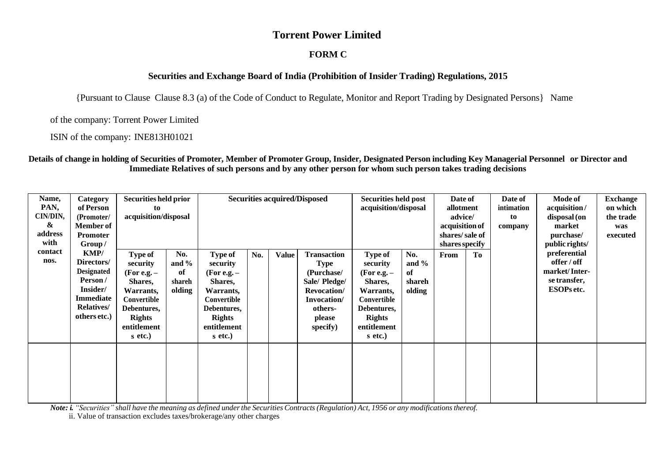### **FORM C**

### **Securities and Exchange Board of India (Prohibition of Insider Trading) Regulations, 2015**

{Pursuant to Clause Clause 8.3 (a) of the Code of Conduct to Regulate, Monitor and Report Trading by Designated Persons} Name

of the company: Torrent Power Limited

ISIN of the company: INE813H01021

#### Details of change in holding of Securities of Promoter, Member of Promoter Group, Insider, Designated Person including Key Managerial Personnel or Director and **Immediate Relatives of such persons and by any other person for whom such person takes trading decisions**

| Name,<br>PAN,<br>CIN/DIN,<br>&<br>address<br>with | Category<br>of Person<br>(Promoter/<br><b>Member of</b><br><b>Promoter</b><br>Group/                                    | <b>Securities held prior</b><br><b>Securities acquired/Disposed</b><br><b>Securities held post</b><br>acquisition/disposal<br>to<br>acquisition/disposal |                                           |                                                                                                                                              |     | Date of<br>allotment<br>advice/<br>acquisition of<br>shares/sale of<br>shares specify |                                                                                                                          |                                                                                                                                       |                                           |  |            | Date of<br>intimation<br>to<br>company                                     | <b>Mode of</b><br>acquisition/<br>disposal (on<br>market<br>purchase/<br>public rights/ | <b>Exchange</b><br>on which<br>the trade<br>was<br>executed |
|---------------------------------------------------|-------------------------------------------------------------------------------------------------------------------------|----------------------------------------------------------------------------------------------------------------------------------------------------------|-------------------------------------------|----------------------------------------------------------------------------------------------------------------------------------------------|-----|---------------------------------------------------------------------------------------|--------------------------------------------------------------------------------------------------------------------------|---------------------------------------------------------------------------------------------------------------------------------------|-------------------------------------------|--|------------|----------------------------------------------------------------------------|-----------------------------------------------------------------------------------------|-------------------------------------------------------------|
| contact<br>nos.                                   | KMP/<br>Directors/<br><b>Designated</b><br>Person/<br>Insider/<br><b>Immediate</b><br><b>Relatives/</b><br>others etc.) | Type of<br>security<br>$(For e.g. -$<br>Shares,<br>Warrants,<br>Convertible<br>Debentures,<br><b>Rights</b><br>entitlement<br>$s$ etc.)                  | No.<br>and $\%$<br>of<br>shareh<br>olding | <b>Type of</b><br>security<br>(For e.g. $-$<br>Shares,<br>Warrants,<br>Convertible<br>Debentures,<br><b>Rights</b><br>entitlement<br>s etc.) | No. | <b>Value</b>                                                                          | Transaction<br><b>Type</b><br>(Purchase/<br>Sale/ Pledge/<br>Revocation/<br>Invocation/<br>others-<br>please<br>specify) | Type of<br>security<br>(For e.g. $-$<br>Shares,<br>Warrants,<br>Convertible<br>Debentures,<br><b>Rights</b><br>entitlement<br>s etc.) | No.<br>and $\%$<br>of<br>shareh<br>olding |  | To<br>From | preferential<br>offer / off<br>market/Inter-<br>se transfer,<br>ESOPs etc. |                                                                                         |                                                             |
|                                                   |                                                                                                                         |                                                                                                                                                          |                                           |                                                                                                                                              |     |                                                                                       |                                                                                                                          |                                                                                                                                       |                                           |  |            |                                                                            |                                                                                         |                                                             |

Note: i. "Securities" shall have the meaning as defined under the Securities Contracts (Regulation) Act, 1956 or any modifications thereof.

ii. Value of transaction excludes taxes/brokerage/any other charges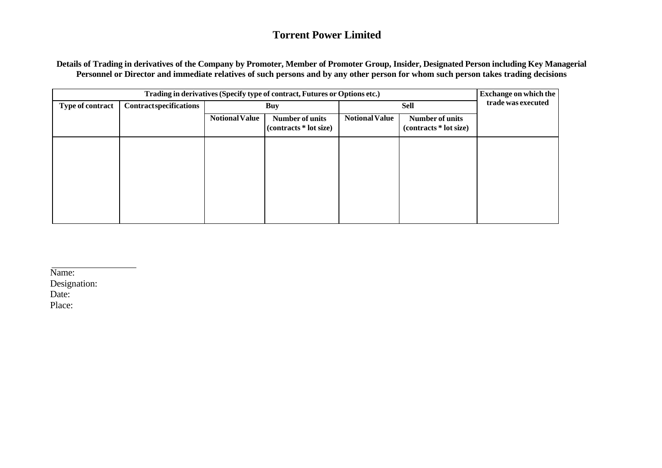Details of Trading in derivatives of the Company by Promoter, Member of Promoter Group, Insider, Designated Person including Key Managerial **Personnel or Director and immediate relatives of such persons and by any other person for whom such person takes trading decisions**

|                         |                               | <b>Exchange on which the</b> |                                           |                       |                                                  |  |
|-------------------------|-------------------------------|------------------------------|-------------------------------------------|-----------------------|--------------------------------------------------|--|
| <b>Type of contract</b> | <b>Contractspecifications</b> |                              | <b>Buy</b>                                |                       | trade was executed                               |  |
|                         |                               | <b>Notional Value</b>        | Number of units<br>(contracts * lot size) | <b>Notional Value</b> | <b>Number of units</b><br>(contracts * lot size) |  |
|                         |                               |                              |                                           |                       |                                                  |  |
|                         |                               |                              |                                           |                       |                                                  |  |
|                         |                               |                              |                                           |                       |                                                  |  |
|                         |                               |                              |                                           |                       |                                                  |  |

Name: Designation: Date: Place: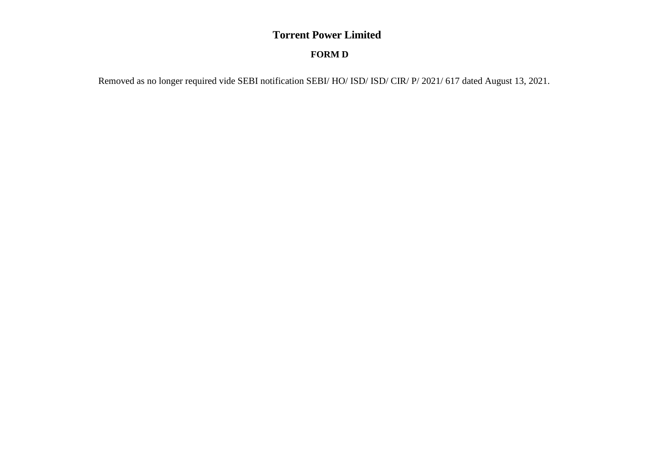## **FORM D**

Removed as no longer required vide SEBI notification SEBI/ HO/ ISD/ ISD/ CIR/ P/ 2021/ 617 dated August 13, 2021.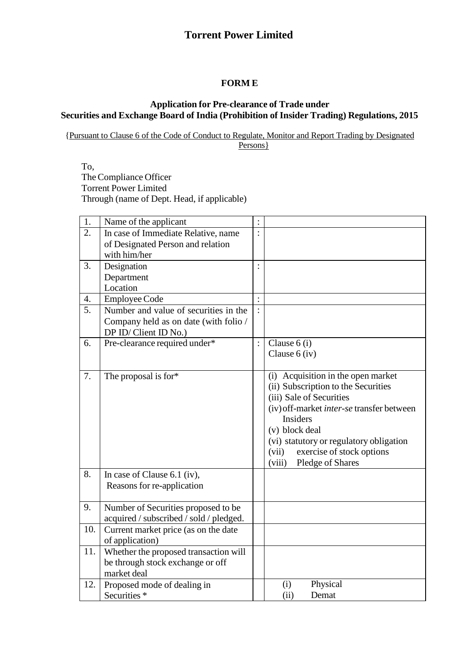### **FORM E**

### **Application for Pre-clearance of Trade under Securities and Exchange Board of India (Prohibition of Insider Trading) Regulations, 2015**

{Pursuant to Clause 6 of the Code of Conduct to Regulate, Monitor and Report Trading by Designated Persons }

To, The Compliance Officer Torrent Power Limited Through (name of Dept. Head, if applicable)

| 1.               | Name of the applicant                   | $\ddot{\cdot}$ |                                                  |
|------------------|-----------------------------------------|----------------|--------------------------------------------------|
| 2.               | In case of Immediate Relative, name     | :              |                                                  |
|                  | of Designated Person and relation       |                |                                                  |
|                  | with him/her                            |                |                                                  |
| 3.               | Designation                             | $\ddot{\cdot}$ |                                                  |
|                  | Department                              |                |                                                  |
|                  | Location                                |                |                                                  |
| 4.               | <b>Employee Code</b>                    | $\vdots$       |                                                  |
| $\overline{5}$ . | Number and value of securities in the   | $\vdots$       |                                                  |
|                  | Company held as on date (with folio /   |                |                                                  |
|                  | DP ID/Client ID No.)                    |                |                                                  |
| 6.               | Pre-clearance required under*           | $\ddot{\cdot}$ | Clause $6$ (i)                                   |
|                  |                                         |                | Clause $6$ (iv)                                  |
|                  |                                         |                |                                                  |
| 7.               | The proposal is for*                    |                | (i) Acquisition in the open market               |
|                  |                                         |                | (ii) Subscription to the Securities              |
|                  |                                         |                | (iii) Sale of Securities                         |
|                  |                                         |                | (iv) off-market <i>inter-se</i> transfer between |
|                  |                                         |                | <b>Insiders</b>                                  |
|                  |                                         |                | (v) block deal                                   |
|                  |                                         |                | (vi) statutory or regulatory obligation          |
|                  |                                         |                | exercise of stock options<br>(vii)               |
|                  |                                         |                | Pledge of Shares<br>(viii)                       |
| 8.               | In case of Clause $6.1$ (iv),           |                |                                                  |
|                  | Reasons for re-application              |                |                                                  |
|                  |                                         |                |                                                  |
| 9.               | Number of Securities proposed to be     |                |                                                  |
|                  | acquired / subscribed / sold / pledged. |                |                                                  |
| 10.              | Current market price (as on the date    |                |                                                  |
|                  | of application)                         |                |                                                  |
| 11.              | Whether the proposed transaction will   |                |                                                  |
|                  | be through stock exchange or off        |                |                                                  |
|                  | market deal                             |                |                                                  |
| 12.              | Proposed mode of dealing in             |                | Physical<br>(i)                                  |
|                  | Securities <sup>*</sup>                 |                | (ii)<br>Demat                                    |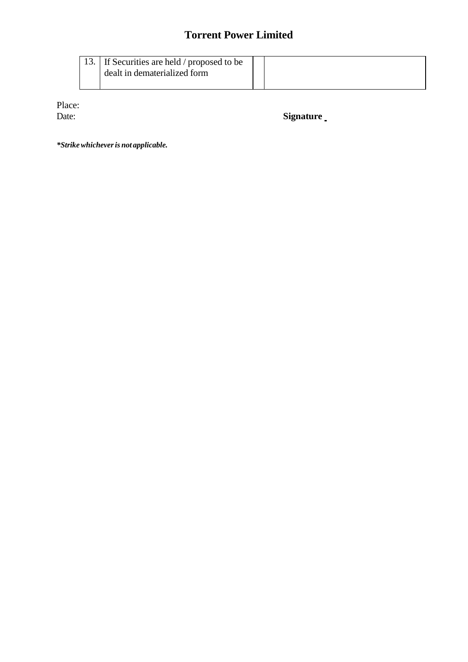|  | 13. If Securities are held / proposed to be |  |
|--|---------------------------------------------|--|
|  |                                             |  |
|  | dealt in dematerialized form                |  |
|  |                                             |  |
|  |                                             |  |

Place:<br>Date:

Signature<sub>\_</sub>

*\*Strikewhicheveris not applicable.*